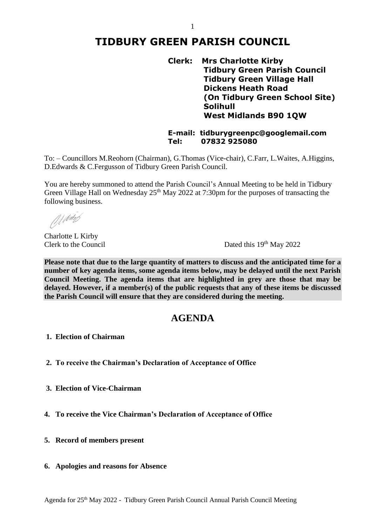## **TIDBURY GREEN PARISH COUNCIL**

**Clerk: Mrs Charlotte Kirby Tidbury Green Parish Council Tidbury Green Village Hall Dickens Heath Road (On Tidbury Green School Site) Solihull West Midlands B90 1QW**

**E-mail: tidburygreenpc@googlemail.com Tel: 07832 925080**

To: – Councillors M.Reohorn (Chairman), G.Thomas (Vice-chair), C.Farr, L.Waites, A.Higgins, D.Edwards & C.Fergusson of Tidbury Green Parish Council.

You are hereby summoned to attend the Parish Council's Annual Meeting to be held in Tidbury Green Village Hall on Wednesday  $25<sup>th</sup>$  May 2022 at 7:30pm for the purposes of transacting the following business.

Al Watch

Charlotte L Kirby Clerk to the Council

Dated this 19<sup>th</sup> May 2022

**Please note that due to the large quantity of matters to discuss and the anticipated time for a number of key agenda items, some agenda items below, may be delayed until the next Parish Council Meeting. The agenda items that are highlighted in grey are those that may be delayed. However, if a member(s) of the public requests that any of these items be discussed the Parish Council will ensure that they are considered during the meeting.** 

## **AGENDA**

- **1. Election of Chairman**
- **2. To receive the Chairman's Declaration of Acceptance of Office**
- **3. Election of Vice-Chairman**
- **4. To receive the Vice Chairman's Declaration of Acceptance of Office**
- **5. Record of members present**
- **6. Apologies and reasons for Absence**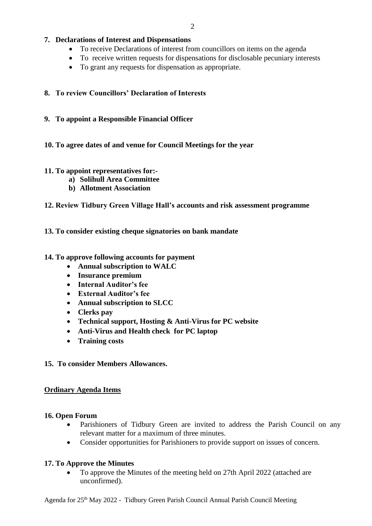## **7. Declarations of Interest and Dispensations**

- To receive Declarations of interest from councillors on items on the agenda
- To receive written requests for dispensations for disclosable pecuniary interests
- To grant any requests for dispensation as appropriate.

## **8. To review Councillors' Declaration of Interests**

**9. To appoint a Responsible Financial Officer**

## **10. To agree dates of and venue for Council Meetings for the year**

## **11. To appoint representatives for:-**

- **a) Solihull Area Committee**
- **b) Allotment Association**

## **12. Review Tidbury Green Village Hall's accounts and risk assessment programme**

## **13. To consider existing cheque signatories on bank mandate**

## **14. To approve following accounts for payment**

- **Annual subscription to WALC**
- **Insurance premium**
- **Internal Auditor's fee**
- **External Auditor's fee**
- **Annual subscription to SLCC**
- **Clerks pay**
- **Technical support, Hosting & Anti-Virus for PC website**
- **Anti-Virus and Health check for PC laptop**
- **Training costs**

## **15. To consider Members Allowances.**

## **Ordinary Agenda Items**

#### **16. Open Forum**

- Parishioners of Tidbury Green are invited to address the Parish Council on any relevant matter for a maximum of three minutes.
- Consider opportunities for Parishioners to provide support on issues of concern.

## **17. To Approve the Minutes**

• To approve the Minutes of the meeting held on 27th April 2022 (attached are unconfirmed).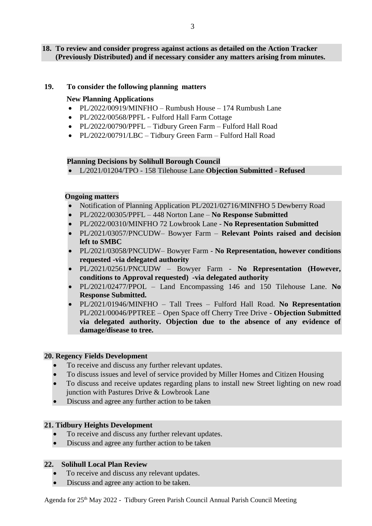#### **18. To review and consider progress against actions as detailed on the Action Tracker (Previously Distributed) and if necessary consider any matters arising from minutes.**

#### **19. To consider the following planning matters**

#### **New Planning Applications**

- PL/2022/00919/MINFHO Rumbush House 174 Rumbush Lane
- PL/2022/00568/PPFL Fulford Hall Farm Cottage
- PL/2022/00790/PPFL Tidbury Green Farm Fulford Hall Road
- PL/2022/00791/LBC Tidbury Green Farm Fulford Hall Road

#### **Planning Decisions by Solihull Borough Council**

L/2021/01204/TPO - 158 Tilehouse Lane **Objection Submitted - Refused**

## **Ongoing matters**

- Notification of Planning Application PL/2021/02716/MINFHO 5 Dewberry Road
- PL/2022/00305/PPFL 448 Norton Lane **No Response Submitted**
- PL/2022/00310/MINFHO 72 Lowbrook Lane **No Representation Submitted**
- PL/2021/03057/PNCUDW– Bowyer Farm **Relevant Points raised and decision left to SMBC**
- PL/2021/03058/PNCUDW– Bowyer Farm **No Representation, however conditions requested -via delegated authority**
- PL/2021/02561/PNCUDW Bowyer Farm **No Representation (However, conditions to Approval requested) -via delegated authority**
- PL/2021/02477/PPOL Land Encompassing 146 and 150 Tilehouse Lane. **No Response Submitted.**
- PL/2021/01946/MINFHO Tall Trees Fulford Hall Road. **No Representation**  PL/2021/00046/PPTREE – Open Space off Cherry Tree Drive - **Objection Submitted via delegated authority. Objection due to the absence of any evidence of damage/disease to tree.**

#### **20. Regency Fields Development**

- To receive and discuss any further relevant updates.
- To discuss issues and level of service provided by Miller Homes and Citizen Housing
- To discuss and receive updates regarding plans to install new Street lighting on new road junction with Pastures Drive & Lowbrook Lane
- Discuss and agree any further action to be taken

#### **21. Tidbury Heights Development**

- To receive and discuss any further relevant updates.
- Discuss and agree any further action to be taken

#### **22. Solihull Local Plan Review**

- To receive and discuss any relevant updates.
- Discuss and agree any action to be taken.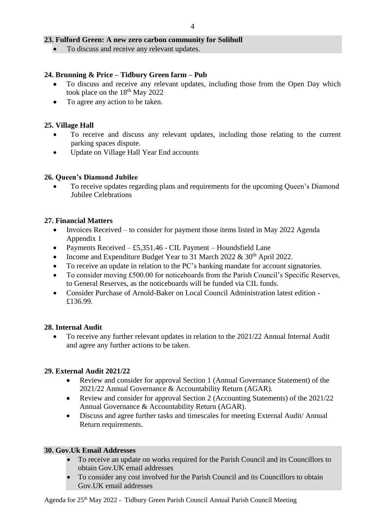## **23. Fulford Green: A new zero carbon community for Solihull**

• To discuss and receive any relevant updates.

## **24. Brunning & Price – Tidbury Green farm – Pub**

- To discuss and receive any relevant updates, including those from the Open Day which took place on the  $18^{th}$  May 2022
- To agree any action to be taken.

## **25. Village Hall**

- To receive and discuss any relevant updates, including those relating to the current parking spaces dispute.
- Update on Village Hall Year End accounts

## **26. Queen's Diamond Jubilee**

 To receive updates regarding plans and requirements for the upcoming Queen's Diamond Jubilee Celebrations

## **27. Financial Matters**

- Invoices Received to consider for payment those items listed in May 2022 Agenda Appendix 1
- Payments Received  $-$  £5,351.46 CIL Payment Houndsfield Lane
- Income and Expenditure Budget Year to 31 March 2022  $\&$  30<sup>th</sup> April 2022.
- To receive an update in relation to the PC's banking mandate for account signatories.
- To consider moving £500.00 for noticeboards from the Parish Council's Specific Reserves, to General Reserves, as the noticeboards will be funded via CIL funds.
- Consider Purchase of Arnold-Baker on Local Council Administration latest edition £136.99.

## **28. Internal Audit**

 To receive any further relevant updates in relation to the 2021/22 Annual Internal Audit and agree any further actions to be taken.

## **29. External Audit 2021/22**

- Review and consider for approval Section 1 (Annual Governance Statement) of the 2021/22 Annual Governance & Accountability Return (AGAR).
- Review and consider for approval Section 2 (Accounting Statements) of the 2021/22 Annual Governance & Accountability Return (AGAR).
- Discuss and agree further tasks and timescales for meeting External Audit/ Annual Return requirements.

#### **30. Gov.Uk Email Addresses**

- To receive an update on works required for the Parish Council and its Councillors to obtain Gov.UK email addresses
- To consider any cost involved for the Parish Council and its Councillors to obtain Gov.UK email addresses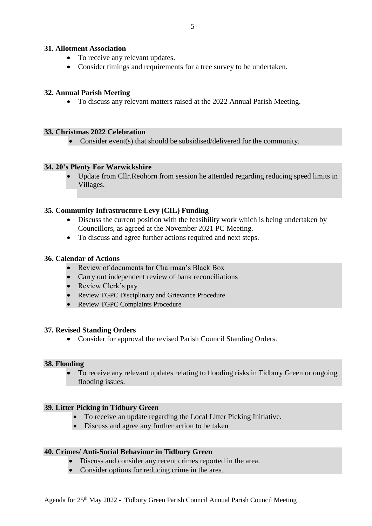#### **31. Allotment Association**

- To receive any relevant updates.
- Consider timings and requirements for a tree survey to be undertaken.

## **32. Annual Parish Meeting**

To discuss any relevant matters raised at the 2022 Annual Parish Meeting.

#### **33. Christmas 2022 Celebration**

• Consider event(s) that should be subsidised/delivered for the community.

#### **34. 20's Plenty For Warwickshire**

 Update from Cllr.Reohorn from session he attended regarding reducing speed limits in Villages.

#### **35. Community Infrastructure Levy (CIL) Funding**

- Discuss the current position with the feasibility work which is being undertaken by Councillors, as agreed at the November 2021 PC Meeting.
- To discuss and agree further actions required and next steps.

#### **36. Calendar of Actions**

- Review of documents for Chairman's Black Box
- Carry out independent review of bank reconciliations
- Review Clerk's pay
- Review TGPC Disciplinary and Grievance Procedure
- Review TGPC Complaints Procedure

#### **37. Revised Standing Orders**

Consider for approval the revised Parish Council Standing Orders.

#### **38. Flooding**

 To receive any relevant updates relating to flooding risks in Tidbury Green or ongoing flooding issues.

## **39. Litter Picking in Tidbury Green**

- To receive an update regarding the Local Litter Picking Initiative.
- Discuss and agree any further action to be taken

#### **40. Crimes/ Anti-Social Behaviour in Tidbury Green**

- Discuss and consider any recent crimes reported in the area.
- Consider options for reducing crime in the area.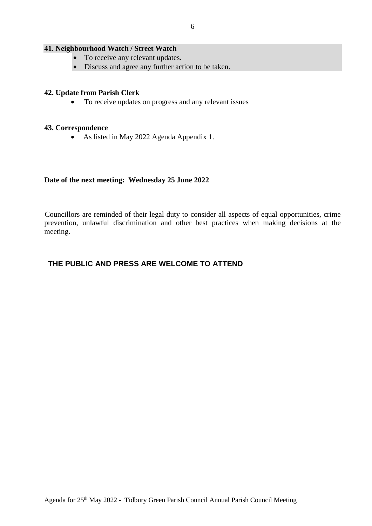#### **41. Neighbourhood Watch / Street Watch**

- To receive any relevant updates.
- Discuss and agree any further action to be taken.

#### **42. Update from Parish Clerk**

• To receive updates on progress and any relevant issues

#### **43. Correspondence**

As listed in May 2022 Agenda Appendix 1.

#### **Date of the next meeting: Wednesday 25 June 2022**

 Councillors are reminded of their legal duty to consider all aspects of equal opportunities, crime prevention, unlawful discrimination and other best practices when making decisions at the meeting.

## **THE PUBLIC AND PRESS ARE WELCOME TO ATTEND**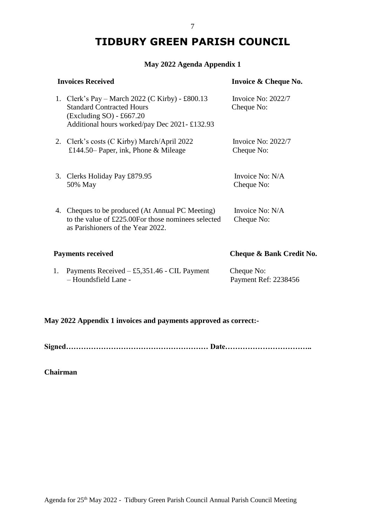# **TIDBURY GREEN PARISH COUNCIL**

## **May 2022 Agenda Appendix 1**

| <b>Invoices Received</b>                                                                                                                                                         | Invoice & Cheque No.               |
|----------------------------------------------------------------------------------------------------------------------------------------------------------------------------------|------------------------------------|
| 1. Clerk's Pay – March 2022 (C Kirby) - £800.13<br><b>Standard Contracted Hours</b><br>$\left($ Excluding SO $\right)$ - £667.20<br>Additional hours worked/pay Dec 2021-£132.93 | Invoice No: $2022/7$<br>Cheque No: |
| 2. Clerk's costs (C Kirby) March/April 2022<br>£144.50– Paper, ink, Phone & Mileage                                                                                              | Invoice No: $2022/7$<br>Cheque No: |
| 3. Clerks Holiday Pay £879.95<br>50% May                                                                                                                                         | Invoice No: N/A<br>Cheque No:      |
| 4. Cheques to be produced (At Annual PC Meeting)<br>to the value of £225.00For those nominees selected<br>as Parishioners of the Year 2022.                                      | Invoice No: N/A<br>Cheque No:      |
| <b>Payments received</b>                                                                                                                                                         | Cheque & Bank Credit No.           |
| Payments Received $-$ £5,351.46 - CIL Payment<br>1.<br>- Houndsfield Lane -                                                                                                      | Cheque No:<br>Payment Ref: 2238456 |

## **May 2022 Appendix 1 invoices and payments approved as correct:-**

**Signed………………………………………………… Date……………………………..**

**Chairman**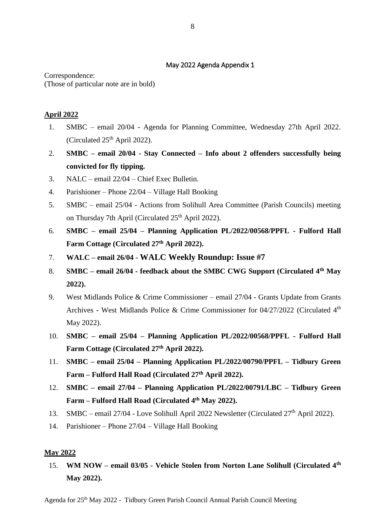## May 2022 Agenda Appendix 1

Correspondence: (Those of particular note are in bold)

## **April 2022**

- 1. SMBC email 20/04 Agenda for Planning Committee, Wednesday 27th April 2022. (Circulated  $25<sup>th</sup>$  April 2022).
- 2. **SMBC – email 20/04 - Stay Connected – Info about 2 offenders successfully being convicted for fly tipping.**
- 3. NALC email 22/04 Chief Exec Bulletin.
- 4. Parishioner Phone 22/04 Village Hall Booking
- 5. SMBC email 25/04 Actions from Solihull Area Committee (Parish Councils) meeting on Thursday 7th April (Circulated 25<sup>th</sup> April 2022).
- 6. **SMBC – email 25/04 – Planning Application PL/2022/00568/PPFL - Fulford Hall Farm Cottage (Circulated 27th April 2022).**
- 7. **WALC – email 26/04 - WALC Weekly Roundup: Issue #7**
- 8. **SMBC – email 26/04 - feedback about the SMBC CWG Support (Circulated 4th May 2022).**
- 9. West Midlands Police & Crime Commissioner email 27/04 Grants Update from Grants Archives - West Midlands Police & Crime Commissioner for 04/27/2022 (Circulated 4<sup>th</sup> May 2022).
- 10. **SMBC – email 25/04 – Planning Application PL/2022/00568/PPFL - Fulford Hall Farm Cottage (Circulated 27th April 2022).**
- 11. **SMBC – email 25/04 – Planning Application PL/2022/00790/PPFL – Tidbury Green Farm – Fulford Hall Road (Circulated 27th April 2022).**
- 12. **SMBC – email 27/04 – Planning Application PL/2022/00791/LBC – Tidbury Green Farm – Fulford Hall Road (Circulated 4 th May 2022).**
- 13. SMBC email 27/04 Love Solihull April 2022 Newsletter (Circulated 27<sup>th</sup> April 2022).
- 14. Parishioner Phone 27/04 Village Hall Booking

## **May 2022**

15. **WM NOW – email 03/05 - Vehicle Stolen from Norton Lane Solihull (Circulated 4th May 2022).**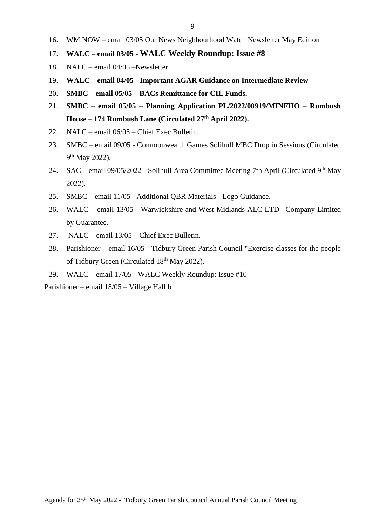- 16. WM NOW email 03/05 Our News Neighbourhood Watch Newsletter May Edition
- 17. **WALC – email 03/05 - WALC Weekly Roundup: Issue #8**
- 18. NALC email 04/05 –Newsletter.
- 19. **WALC – email 04/05 - Important AGAR Guidance on Intermediate Review**
- 20. **SMBC – email 05/05 – BACs Remittance for CIL Funds.**
- 21. **SMBC – email 05/05 – Planning Application PL/2022/00919/MINFHO – Rumbush House – 174 Rumbush Lane (Circulated 27th April 2022).**
- 22. NALC email 06/05 Chief Exec Bulletin.
- 23. SMBC email 09/05 Commonwealth Games Solihull MBC Drop in Sessions (Circulated 9<sup>th</sup> May 2022).
- 24. SAC email  $09/05/2022$  Solihull Area Committee Meeting 7th April (Circulated  $9<sup>th</sup>$  May 2022).
- 25. SMBC email 11/05 Additional QBR Materials Logo Guidance.
- 26. WALC email 13/05 Warwickshire and West Midlands ALC LTD –Company Limited by Guarantee.
- 27. NALC email 13/05 Chief Exec Bulletin.
- 28. Parishioner email 16/05 Tidbury Green Parish Council "Exercise classes for the people of Tidbury Green (Circulated 18<sup>th</sup> May 2022).
- 29. WALC email 17/05 WALC Weekly Roundup: Issue #10

Parishioner – email 18/05 – Village Hall b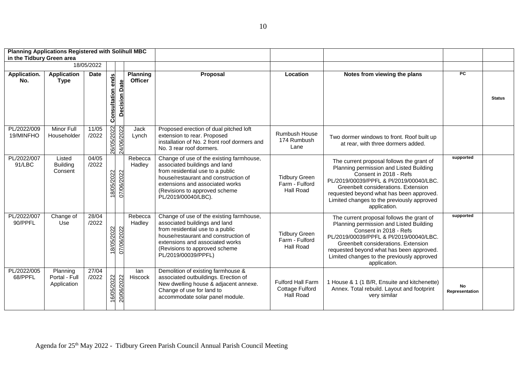| <b>Planning Applications Registered with Solihull MBC</b><br>in the Tidbury Green area |                                          |                |                          |                      |                            |                                                                                                                                                                                                                                                  |                                                          |                                                                                                                                                                                                                                                                                                            |                      |               |
|----------------------------------------------------------------------------------------|------------------------------------------|----------------|--------------------------|----------------------|----------------------------|--------------------------------------------------------------------------------------------------------------------------------------------------------------------------------------------------------------------------------------------------|----------------------------------------------------------|------------------------------------------------------------------------------------------------------------------------------------------------------------------------------------------------------------------------------------------------------------------------------------------------------------|----------------------|---------------|
|                                                                                        |                                          | 18/05/2022     |                          |                      |                            |                                                                                                                                                                                                                                                  |                                                          |                                                                                                                                                                                                                                                                                                            |                      |               |
| Application.<br>No.                                                                    | <b>Application</b><br><b>Type</b>        | <b>Date</b>    | <b>Consultation ends</b> | <b>Decision Date</b> | Planning<br><b>Officer</b> | Proposal                                                                                                                                                                                                                                         | Location                                                 | Notes from viewing the plans                                                                                                                                                                                                                                                                               | PC                   | <b>Status</b> |
| PL/2022/009<br>19/MINFHO                                                               | Minor Full<br>Householder                | 11/05<br>/2022 | 26/05/2022               | 24/06/2022           | Jack<br>Lynch              | Proposed erection of dual pitched loft<br>extension to rear. Proposed<br>installation of No. 2 front roof dormers and<br>No. 3 rear roof dormers.                                                                                                | Rumbush House<br>174 Rumbush<br>Lane                     | Two dormer windows to front. Roof built up<br>at rear, with three dormers added.                                                                                                                                                                                                                           |                      |               |
| PL/2022/007<br>91/LBC                                                                  | Listed<br><b>Building</b><br>Consent     | 04/05<br>/2022 | 18/05/2022               | 07/06/2022           | Rebecca<br>Hadley          | Change of use of the existing farmhouse,<br>associated buildings and land<br>from residential use to a public<br>house/restaurant and construction of<br>extensions and associated works<br>(Revisions to approved scheme<br>PL/2019/00040/LBC). | <b>Tidbury Green</b><br>Farm - Fulford<br>Hall Road      | The current proposal follows the grant of<br>Planning permission and Listed Building<br>Consent in 2018 - Refs<br>PL/2019/00039/PPFL & Pl/2019/00040/LBC.<br>Greenbelt considerations. Extension<br>requested beyond what has been approved.<br>Limited changes to the previously approved<br>application. | supported            |               |
| PL/2022/007<br>90/PPFL                                                                 | Change of<br>Use                         | 28/04<br>/2022 | 18/05/2022               | 07/06/2022           | Rebecca<br>Hadley          | Change of use of the existing farmhouse,<br>associated buildings and land<br>from residential use to a public<br>house/restaurant and construction of<br>extensions and associated works<br>(Revisions to approved scheme<br>PL/2019/00039/PPFL) | <b>Tidbury Green</b><br>Farm - Fulford<br>Hall Road      | The current proposal follows the grant of<br>Planning permission and Listed Building<br>Consent in 2018 - Refs<br>PL/2019/00039/PPFL & Pl/2019/00040/LBC.<br>Greenbelt considerations. Extension<br>requested beyond what has been approved.<br>Limited changes to the previously approved<br>application. | supported            |               |
| PL/2022/005<br>68/PPFL                                                                 | Planning<br>Portal - Full<br>Application | 27/04<br>/2022 | 16/05/2022               | 20/06/2022           | lan<br>Hiscock             | Demolition of existing farmhouse &<br>associated outbuildings. Erection of<br>New dwelling house & adjacent annexe.<br>Change of use for land to<br>accommodate solar panel module.                                                              | Fulford Hall Farm<br><b>Cottage Fulford</b><br>Hall Road | 1 House & 1 (1 B/R, Ensuite and kitchenette)<br>Annex. Total rebuild. Layout and footprint<br>very similar                                                                                                                                                                                                 | No<br>Representation |               |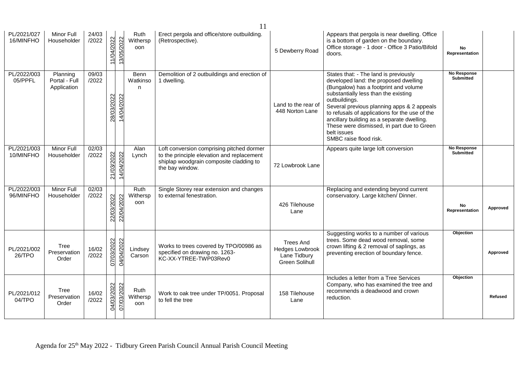| 11                       |                                          |                |            |            |                         |                                                                                                                                                       |                                                                                     |                                                                                                                                                                                                                                                                                                                                                                                                                       |                                 |                |
|--------------------------|------------------------------------------|----------------|------------|------------|-------------------------|-------------------------------------------------------------------------------------------------------------------------------------------------------|-------------------------------------------------------------------------------------|-----------------------------------------------------------------------------------------------------------------------------------------------------------------------------------------------------------------------------------------------------------------------------------------------------------------------------------------------------------------------------------------------------------------------|---------------------------------|----------------|
| PL/2021/027<br>16/MINFHO | Minor Full<br>Householder                | 24/03<br>/2022 | 11/04/2022 | 13/05/2022 | Ruth<br>Withersp<br>oon | Erect pergola and office/store outbuilding.<br>(Retrospective).                                                                                       | 5 Dewberry Road                                                                     | Appears that pergola is near dwelling. Office<br>is a bottom of garden on the boundary.<br>Office storage - 1 door - Office 3 Patio/Bifold<br>doors.                                                                                                                                                                                                                                                                  | No<br>Representation            |                |
| PL/2022/003<br>05/PPFL   | Planning<br>Portal - Full<br>Application | 09/03<br>/2022 | 28/03/2022 | 14/04/2022 | Benn<br>Watkinso<br>n   | Demolition of 2 outbuildings and erection of<br>1 dwelling.                                                                                           | Land to the rear of<br>448 Norton Lane                                              | States that: - The land is previously<br>developed land: the proposed dwelling<br>(Bungalow) has a footprint and volume<br>substantially less than the existing<br>outbuildings.<br>Several previous planning apps & 2 appeals<br>to refusals of applications for the use of the<br>ancillary building as a separate dwelling.<br>These were dismissed, in part due to Green<br>belt issues<br>SMBC raise flood risk. | No Response<br><b>Submitted</b> |                |
| PL/2021/003<br>10/MINFHO | Minor Full<br>Householder                | 02/03<br>/2022 | 21/03/2022 | 14/04/2022 | Alan<br>Lynch           | Loft conversion comprising pitched dormer<br>to the principle elevation and replacement<br>shiplap woodgrain composite cladding to<br>the bay window. | 72 Lowbrook Lane                                                                    | Appears quite large loft conversion                                                                                                                                                                                                                                                                                                                                                                                   | No Response<br><b>Submitted</b> |                |
| PL/2022/003<br>96/MINFHO | Minor Full<br>Householder                | 02/03<br>/2022 | 22/03/2022 | 22/04/2022 | Ruth<br>Withersp<br>oon | Single Storey rear extension and changes<br>to external fenestration.                                                                                 | 426 Tilehouse<br>Lane                                                               | Replacing and extending beyond current<br>conservatory. Large kitchen/ Dinner.                                                                                                                                                                                                                                                                                                                                        | No<br>Representation            | Approved       |
| PL/2021/002<br>26/TPO    | <b>Tree</b><br>Preservation<br>Order     | 16/02<br>/2022 | 07/03/2022 | 04/04/2022 | Lindsey<br>Carson       | Works to trees covered by TPO/00986 as<br>specified on drawing no. 1263-<br>KC-XX-YTREE-TWP03Rev0                                                     | <b>Trees And</b><br><b>Hedges Lowbrook</b><br>Lane Tidbury<br><b>Green Solihull</b> | Suggesting works to a number of various<br>trees. Some dead wood removal, some<br>crown lifting & 2 removal of saplings, as<br>preventing erection of boundary fence.                                                                                                                                                                                                                                                 | Objection                       | Approved       |
| PL/2021/012<br>04/TPO    | Tree<br>Preservation<br>Order            | 16/02<br>/2022 | 04/03/2022 | 07/03/2022 | Ruth<br>Withersp<br>oon | Work to oak tree under TP/0051. Proposal<br>to fell the tree                                                                                          | 158 Tilehouse<br>Lane                                                               | Includes a letter from a Tree Services<br>Company, who has examined the tree and<br>recommends a deadwood and crown<br>reduction.                                                                                                                                                                                                                                                                                     | Objection                       | <b>Refused</b> |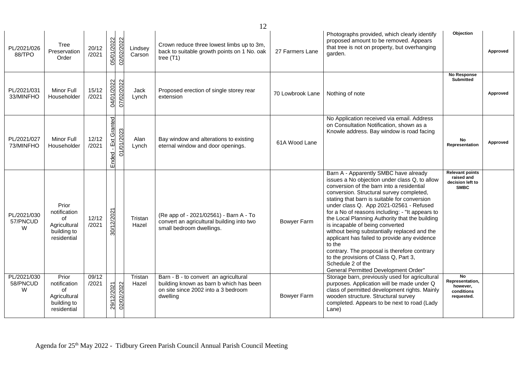| PL/2021/026<br>88/TPO        | <b>Tree</b><br>Preservation<br>Order                                      | 20/12<br>/2021 | 05/01/2022<br>02/02/2022             | Lindsey<br>Carson | Crown reduce three lowest limbs up to 3m,<br>back to suitable growth points on 1 No. oak<br>tree $(T1)$                             | 27 Farmers Lane    | Photographs provided, which clearly identify<br>proposed amount to be removed. Appears<br>that tree is not on property, but overhanging<br>garden.                                                                                                                                                                                                                                                                                                                                                                                                                                                                                                                                        | Objection                                                               | Approved |
|------------------------------|---------------------------------------------------------------------------|----------------|--------------------------------------|-------------------|-------------------------------------------------------------------------------------------------------------------------------------|--------------------|-------------------------------------------------------------------------------------------------------------------------------------------------------------------------------------------------------------------------------------------------------------------------------------------------------------------------------------------------------------------------------------------------------------------------------------------------------------------------------------------------------------------------------------------------------------------------------------------------------------------------------------------------------------------------------------------|-------------------------------------------------------------------------|----------|
| PL/2021/031<br>33/MINFHO     | Minor Full<br>Householder                                                 | 15/12<br>/2021 | 04/01/2022<br>07/02/2022             | Jack<br>Lynch     | Proposed erection of single storey rear<br>extension                                                                                | 70 Lowbrook Lane   | Nothing of note                                                                                                                                                                                                                                                                                                                                                                                                                                                                                                                                                                                                                                                                           | No Response<br><b>Submitted</b>                                         | Approved |
| PL/2021/027<br>73/MINFHO     | Minor Full<br>Householder                                                 | 12/12<br>/2021 | - Ext Granted<br>01/01/2023<br>Ended | Alan<br>Lynch     | Bay window and alterations to existing<br>eternal window and door openings.                                                         | 61A Wood Lane      | No Application received via email. Address<br>on Consultation Notification, shown as a<br>Knowle address. Bay window is road facing                                                                                                                                                                                                                                                                                                                                                                                                                                                                                                                                                       | <b>No</b><br>Representation                                             | Approved |
| PL/2021/030<br>57/PNCUD<br>W | Prior<br>notification<br>of<br>Agricultural<br>building to<br>residential | 12/12<br>/2021 | 30/12/2021                           | Tristan<br>Hazel  | (Re app of - 2021/02561) - Barn A - To<br>convert an agricultural building into two<br>small bedroom dwellings.                     | <b>Bowyer Farm</b> | Barn A - Apparently SMBC have already<br>issues a No objection under class Q, to allow<br>conversion of the barn into a residential<br>conversion. Structural survey completed,<br>stating that barn is suitable for conversion<br>under class Q. App 2021-02561 - Refused<br>for a No of reasons including: - "It appears to<br>the Local Planning Authority that the building<br>is incapable of being converted<br>without being substantially replaced and the<br>applicant has failed to provide any evidence<br>to the<br>contrary. The proposal is therefore contrary<br>to the provisions of Class Q, Part 3,<br>Schedule 2 of the<br><b>General Permitted Development Order"</b> | <b>Relevant points</b><br>raised and<br>decision left to<br><b>SMBC</b> |          |
| PL/2021/030<br>58/PNCUD<br>W | Prior<br>notification<br>of<br>Agricultural<br>building to<br>residential | 09/12<br>/2021 | 02/02/2022<br>29/12/2021             | Tristan<br>Hazel  | Barn - B - to convert an agricultural<br>building known as barn b which has been<br>on site since 2002 into a 3 bedroom<br>dwelling | <b>Bowyer Farm</b> | Storage barn, previously used for agricultural<br>purposes. Application will be made under Q<br>class of permitted development rights. Mainly<br>wooden structure. Structural survey<br>completed. Appears to be next to road (Lady<br>Lane)                                                                                                                                                                                                                                                                                                                                                                                                                                              | <b>No</b><br>Representation,<br>however,<br>conditions<br>requested.    |          |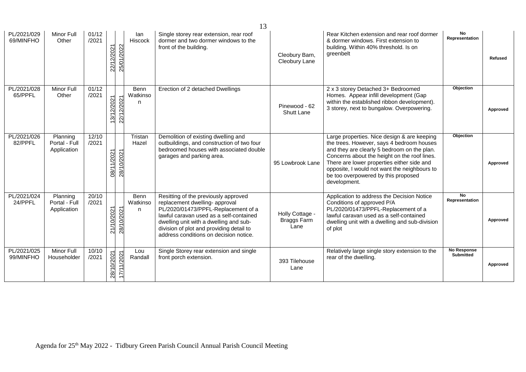| 13                       |                                          |                |            |            |                              |                                                                                                                                                                                                                                                                                          |                                               |                                                                                                                                                                                                                                                                                                                                              |                                        |                |
|--------------------------|------------------------------------------|----------------|------------|------------|------------------------------|------------------------------------------------------------------------------------------------------------------------------------------------------------------------------------------------------------------------------------------------------------------------------------------|-----------------------------------------------|----------------------------------------------------------------------------------------------------------------------------------------------------------------------------------------------------------------------------------------------------------------------------------------------------------------------------------------------|----------------------------------------|----------------|
| PL/2021/029<br>69/MINFHO | Minor Full<br>Other                      | 01/12<br>/2021 | 22/12/2021 | 25/01/2022 | lan<br>Hiscock               | Single storey rear extension, rear roof<br>dormer and two dormer windows to the<br>front of the building.                                                                                                                                                                                | Cleobury Barn,<br>Cleobury Lane               | Rear Kitchen extension and rear roof dormer<br>& dormer windows. First extension to<br>building. Within 40% threshold. Is on<br>greenbelt                                                                                                                                                                                                    | No<br>Representation                   | <b>Refused</b> |
| PL/2021/028<br>65/PPFL   | Minor Full<br>Other                      | 01/12<br>/2021 | 13/12/2021 | 22/12/2021 | <b>Benn</b><br>Watkinso<br>n | Erection of 2 detached Dwellings                                                                                                                                                                                                                                                         | Pinewood - 62<br>Shutt Lane                   | 2 x 3 storey Detached 3+ Bedroomed<br>Homes. Appear infill development (Gap<br>within the established ribbon development).<br>3 storey, next to bungalow. Overpowering.                                                                                                                                                                      | Objection                              | Approved       |
| PL/2021/026<br>82/PPFL   | Planning<br>Portal - Full<br>Application | 12/10<br>/2021 | 08/11/2021 | 28/10/2021 | Tristan<br>Hazel             | Demolition of existing dwelling and<br>outbuildings, and construction of two four<br>bedroomed houses with associated double<br>garages and parking area.                                                                                                                                | 95 Lowbrook Lane                              | Large properties. Nice design & are keeping<br>the trees. However, says 4 bedroom houses<br>and they are clearly 5 bedroom on the plan.<br>Concerns about the height on the roof lines.<br>There are lower properties either side and<br>opposite, I would not want the neighbours to<br>be too overpowered by this proposed<br>development. | Objection                              | Approved       |
| PL/2021/024<br>24/PPFL   | Planning<br>Portal - Full<br>Application | 20/10<br>/2021 | 21/10/2021 | 28/10/2021 | Benn<br>Watkinso<br>n        | Resitting of the previously approved<br>replacement dwelling- approval<br>PL/2020/01473/PPFL-Replacement of a<br>lawful caravan used as a self-contained<br>dwelling unit with a dwelling and sub-<br>division of plot and providing detail to<br>address conditions on decision notice. | Holly Cottage -<br><b>Braggs Farm</b><br>Lane | Application to address the Decision Notice<br>Conditions of approved P/A<br>PL/2020/01473/PPFL-Replacement of a<br>lawful caravan used as a self-contained<br>dwelling unit with a dwelling and sub-division<br>of plot                                                                                                                      | No<br>Representation                   | Approved       |
| PL/2021/025<br>99/MINFHO | Minor Full<br>Householder                | 10/10<br>/2021 | 28/10/2021 | 17/11/2021 | Lou<br>Randall               | Single Storey rear extension and single<br>front porch extension.                                                                                                                                                                                                                        | 393 Tilehouse<br>Lane                         | Relatively large single story extension to the<br>rear of the dwelling.                                                                                                                                                                                                                                                                      | <b>No Response</b><br><b>Submitted</b> | Approved       |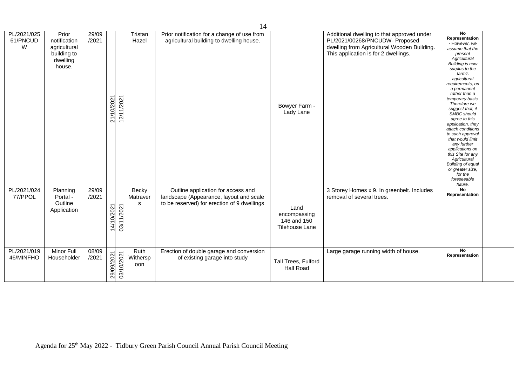|                              |                                                                            |                |            |            |                         | 14                                                                                                                           |                                                       |                                                                                                                                                                     |                                                                                                                                                                                                                                                                                                                                                                                                                                                                                                                                                     |  |
|------------------------------|----------------------------------------------------------------------------|----------------|------------|------------|-------------------------|------------------------------------------------------------------------------------------------------------------------------|-------------------------------------------------------|---------------------------------------------------------------------------------------------------------------------------------------------------------------------|-----------------------------------------------------------------------------------------------------------------------------------------------------------------------------------------------------------------------------------------------------------------------------------------------------------------------------------------------------------------------------------------------------------------------------------------------------------------------------------------------------------------------------------------------------|--|
| PL/2021/025<br>61/PNCUD<br>W | Prior<br>notification<br>agricultural<br>building to<br>dwelling<br>house. | 29/09<br>/2021 | 21/10/2021 | 12/11/2021 | Tristan<br>Hazel        | Prior notification for a change of use from<br>agricultural building to dwelling house.                                      | Bowyer Farm -<br>Lady Lane                            | Additional dwelling to that approved under<br>PL/2021/00268/PNCUDW- Proposed<br>dwelling from Agricultural Wooden Building.<br>This application is for 2 dwellings. | No<br>Representation<br>- However, we<br>assume that the<br>present<br>Agricultural<br><b>Building is now</b><br>surplus to the<br>farm's<br>agricultural<br>requirements, on<br>a permanent<br>rather than a<br>temporary basis.<br>Therefore we<br>suggest that, if<br><b>SMBC</b> should<br>agree to this<br>application, they<br>attach conditions<br>to such approval<br>that would limit<br>any further<br>applications on<br>this Site for any<br>Agricultural<br>Building of equal<br>or greater size,<br>for the<br>foreseeable<br>future. |  |
| PL/2021/024<br>77/PPOL       | Planning<br>Portal -<br>Outline<br>Application                             | 29/09<br>/2021 | 14/10/2021 | 03/11/2021 | Becky<br>Matraver<br>s  | Outline application for access and<br>landscape (Appearance, layout and scale<br>to be reserved) for erection of 9 dwellings | Land<br>encompassing<br>146 and 150<br>Tilehouse Lane | 3 Storey Homes x 9. In greenbelt. Includes<br>removal of several trees.                                                                                             | No<br>Representation                                                                                                                                                                                                                                                                                                                                                                                                                                                                                                                                |  |
| PL/2021/019<br>46/MINFHO     | Minor Full<br>Householder                                                  | 08/09<br>/2021 | 29/09/2021 | 03/10/2021 | Ruth<br>Withersp<br>oon | Erection of double garage and conversion<br>of existing garage into study                                                    | Tall Trees, Fulford<br><b>Hall Road</b>               | Large garage running width of house.                                                                                                                                | No<br>Representation                                                                                                                                                                                                                                                                                                                                                                                                                                                                                                                                |  |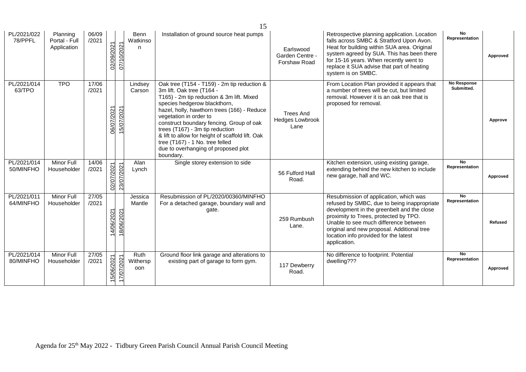|                          |                                          |                |            |            |                              | 15                                                                                                                                                                                                                                                                                                                                                                                                                                                       |                                                    |                                                                                                                                                                                                                                                                                                                              |                                  |          |
|--------------------------|------------------------------------------|----------------|------------|------------|------------------------------|----------------------------------------------------------------------------------------------------------------------------------------------------------------------------------------------------------------------------------------------------------------------------------------------------------------------------------------------------------------------------------------------------------------------------------------------------------|----------------------------------------------------|------------------------------------------------------------------------------------------------------------------------------------------------------------------------------------------------------------------------------------------------------------------------------------------------------------------------------|----------------------------------|----------|
| PL/2021/022<br>78/PPFL   | Planning<br>Portal - Full<br>Application | 06/09<br>/2021 | 02/09/2021 | 07/10/2021 | <b>Benn</b><br>Watkinso<br>n | Installation of ground source heat pumps                                                                                                                                                                                                                                                                                                                                                                                                                 | Earlswood<br>Garden Centre -<br>Forshaw Road       | Retrospective planning application. Location<br>falls across SMBC & Stratford Upon Avon.<br>Heat for building within SUA area. Original<br>system agreed by SUA. This has been there<br>for 15-16 years. When recently went to<br>replace it SUA advise that part of heating<br>system is on SMBC.                           | No<br>Representation             | Approved |
| PL/2021/014<br>63/TPO    | <b>TPO</b>                               | 17/06<br>/2021 | 06/07/2021 | 15/07/2021 | Lindsey<br>Carson            | Oak tree (T154 - T159) - 2m tip reduction &<br>3m lift. Oak tree (T164 -<br>T165) - 2m tip reduction & 3m lift. Mixed<br>species hedgerow blackthorn,<br>hazel, holly, hawthorn trees (166) - Reduce<br>vegetation in order to<br>construct boundary fencing. Group of oak<br>trees (T167) - 3m tip reduction<br>& lift to allow for height of scaffold lift. Oak<br>tree (T167) - 1 No. tree felled<br>due to overhanging of proposed plot<br>boundary. | <b>Trees And</b><br><b>Hedges Lowbrook</b><br>Lane | From Location Plan provided it appears that<br>a number of trees will be cut, but limited<br>removal. However it is an oak tree that is<br>proposed for removal.                                                                                                                                                             | <b>No Response</b><br>Submitted. | Approve  |
| PL/2021/014<br>50/MINFHO | <b>Minor Full</b><br>Householder         | 14/06<br>/2021 | 02/07/2021 | 23/07/2021 | Alan<br>Lynch                | Single storey extension to side                                                                                                                                                                                                                                                                                                                                                                                                                          | 56 Fulford Hall<br>Road.                           | Kitchen extension, using existing garage,<br>extending behind the new kitchen to include<br>new garage, hall and WC.                                                                                                                                                                                                         | <b>No</b><br>Representation      | Approved |
| PL/2021/011<br>64/MINFHO | <b>Minor Full</b><br>Householder         | 27/05<br>/2021 | 14/06/2021 | 18/06/2021 | Jessica<br>Mantle            | Resubmission of PL/2020/00360/MINFHO<br>For a detached garage, boundary wall and<br>gate.                                                                                                                                                                                                                                                                                                                                                                | 259 Rumbush<br>Lane.                               | Resubmission of application, which was<br>refused by SMBC, due to being inappropriate<br>development in the greenbelt and the close<br>proximity to Trees, protected by TPO.<br>Unable to see much difference between<br>original and new proposal. Additional tree<br>location info provided for the latest<br>application. | <b>No</b><br>Representation      | Refused  |
| PL/2021/014<br>80/MINFHO | <b>Minor Full</b><br>Householder         | 27/05<br>/2021 | 15/06/2021 | 17/07/2021 | Ruth<br>Withersp<br>oon      | Ground floor link garage and alterations to<br>existing part of garage to form gym.                                                                                                                                                                                                                                                                                                                                                                      | 117 Dewberry<br>Road.                              | No difference to footprint. Potential<br>dwelling???                                                                                                                                                                                                                                                                         | <b>No</b><br>Representation      | Approved |